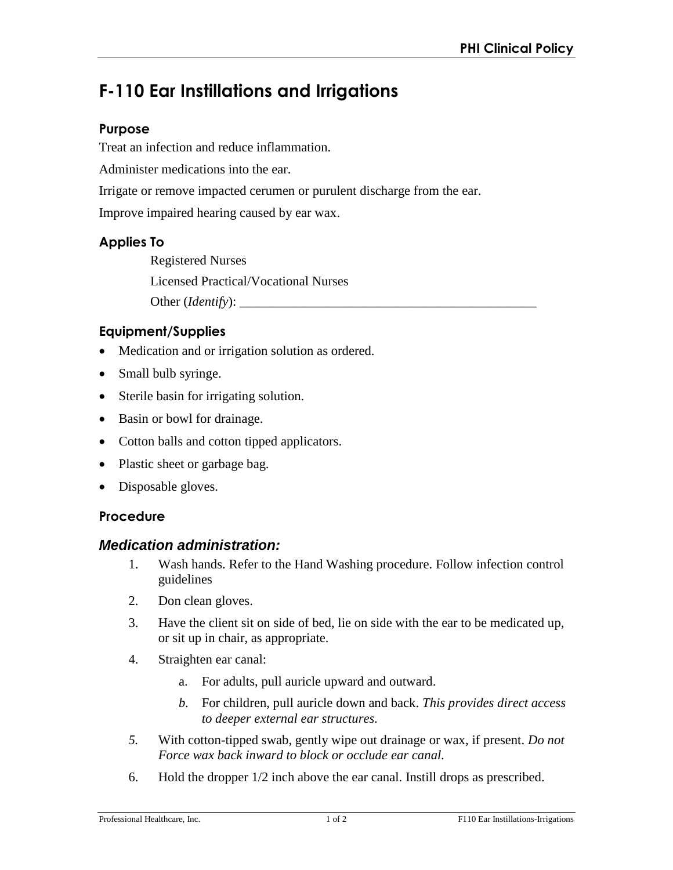# **F-110 Ear Instillations and Irrigations**

## **Purpose**

Treat an infection and reduce inflammation.

Administer medications into the ear.

Irrigate or remove impacted cerumen or purulent discharge from the ear.

Improve impaired hearing caused by ear wax.

## **Applies To**

Registered Nurses Licensed Practical/Vocational Nurses Other (*Identify*): \_\_\_\_\_\_\_\_\_\_\_\_\_\_\_\_\_\_\_\_\_\_\_\_\_\_\_\_\_\_\_\_\_\_\_\_\_\_\_\_\_\_\_\_\_

# **Equipment/Supplies**

- Medication and or irrigation solution as ordered.
- Small bulb syringe.
- Sterile basin for irrigating solution.
- Basin or bowl for drainage.
- Cotton balls and cotton tipped applicators.
- Plastic sheet or garbage bag.
- Disposable gloves.

### **Procedure**

#### *Medication administration:*

- 1. Wash hands. Refer to the Hand Washing procedure. Follow infection control guidelines
- 2. Don clean gloves.
- 3. Have the client sit on side of bed, lie on side with the ear to be medicated up, or sit up in chair, as appropriate.
- 4. Straighten ear canal:
	- a. For adults, pull auricle upward and outward.
	- *b.* For children, pull auricle down and back. *This provides direct access to deeper external ear structures.*
- *5.* With cotton-tipped swab, gently wipe out drainage or wax, if present. *Do not Force wax back inward to block or occlude ear canal.*
- 6. Hold the dropper 1/2 inch above the ear canal. Instill drops as prescribed.